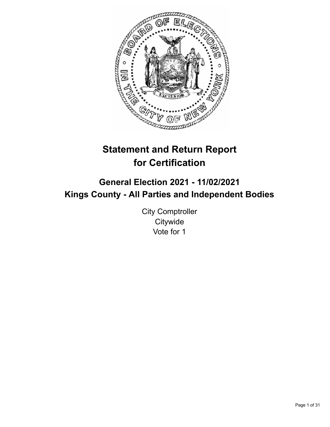

# **Statement and Return Report for Certification**

## **General Election 2021 - 11/02/2021 Kings County - All Parties and Independent Bodies**

City Comptroller **Citywide** Vote for 1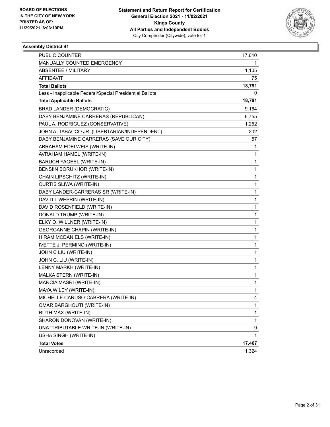

| PUBLIC COUNTER                                           | 17,610 |
|----------------------------------------------------------|--------|
| MANUALLY COUNTED EMERGENCY                               | 1.     |
| <b>ABSENTEE / MILITARY</b>                               | 1,105  |
| AFFIDAVIT                                                | 75     |
| <b>Total Ballots</b>                                     | 18,791 |
| Less - Inapplicable Federal/Special Presidential Ballots | 0      |
| <b>Total Applicable Ballots</b>                          | 18,791 |
| <b>BRAD LANDER (DEMOCRATIC)</b>                          | 9,164  |
| DABY BENJAMINE CARRERAS (REPUBLICAN)                     | 6,755  |
| PAUL A. RODRIGUEZ (CONSERVATIVE)                         | 1,252  |
| JOHN A. TABACCO JR. (LIBERTARIAN/INDEPENDENT)            | 202    |
| DABY BENJAMINE CARRERAS (SAVE OUR CITY)                  | 57     |
| ABRAHAM EDELWEIS (WRITE-IN)                              | 1      |
| AVRAHAM HAMEL (WRITE-IN)                                 | 1      |
| <b>BARUCH YAGEEL (WRITE-IN)</b>                          | 1      |
| BENSIIN BORUKHOR (WRITE-IN)                              | 1      |
| CHAIN LIPSCHITZ (WRITE-IN)                               | 1      |
| CURTIS SLIWA (WRITE-IN)                                  | 1      |
| DABY LANDER-CARRERAS SR (WRITE-IN)                       | 1      |
| DAVID I. WEPRIN (WRITE-IN)                               | 1      |
| DAVID ROSENFIELD (WRITE-IN)                              | 1      |
| DONALD TRUMP (WRITE-IN)                                  | 1      |
| ELKY O. WILLNER (WRITE-IN)                               | 1      |
| <b>GEORGANNE CHAPIN (WRITE-IN)</b>                       | 1      |
| HIRAM MCDANIELS (WRITE-IN)                               | 1      |
| IVETTE J. PERMINO (WRITE-IN)                             | 1      |
| JOHN C LIU (WRITE-IN)                                    | 1      |
| JOHN C. LIU (WRITE-IN)                                   | 1      |
| LENNY MARKH (WRITE-IN)                                   | 1      |
| MALKA STERN (WRITE-IN)                                   | 1      |
| MARCIA MASRI (WRITE-IN)                                  | 1      |
| MAYA WILEY (WRITE-IN)                                    | 1      |
| MICHELLE CARUSO-CABRERA (WRITE-IN)                       | 4      |
| OMAR BARGHOUTI (WRITE-IN)                                | 1      |
| RUTH MAX (WRITE-IN)                                      | 1      |
| SHARON DONOVAN (WRITE-IN)                                | 1      |
| UNATTRIBUTABLE WRITE-IN (WRITE-IN)                       | 9      |
| USHA SINGH (WRITE-IN)                                    | 1      |
| <b>Total Votes</b>                                       | 17,467 |
| Unrecorded                                               | 1,324  |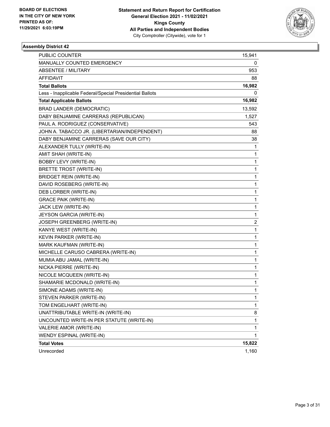

| PUBLIC COUNTER                                           | 15,941       |
|----------------------------------------------------------|--------------|
| MANUALLY COUNTED EMERGENCY                               | 0            |
| ABSENTEE / MILITARY                                      | 953          |
| AFFIDAVIT                                                | 88           |
| <b>Total Ballots</b>                                     | 16,982       |
| Less - Inapplicable Federal/Special Presidential Ballots | 0            |
| <b>Total Applicable Ballots</b>                          | 16,982       |
| <b>BRAD LANDER (DEMOCRATIC)</b>                          | 13,592       |
| DABY BENJAMINE CARRERAS (REPUBLICAN)                     | 1,527        |
| PAUL A. RODRIGUEZ (CONSERVATIVE)                         | 543          |
| JOHN A. TABACCO JR. (LIBERTARIAN/INDEPENDENT)            | 88           |
| DABY BENJAMINE CARRERAS (SAVE OUR CITY)                  | 38           |
| ALEXANDER TULLY (WRITE-IN)                               | 1            |
| AMIT SHAH (WRITE-IN)                                     | 1            |
| <b>BOBBY LEVY (WRITE-IN)</b>                             | 1            |
| <b>BRETTE TROST (WRITE-IN)</b>                           | 1            |
| <b>BRIDGET REIN (WRITE-IN)</b>                           | 1            |
| DAVID ROSEBERG (WRITE-IN)                                | 1            |
| DEB LORBER (WRITE-IN)                                    | 1            |
| <b>GRACE PAIK (WRITE-IN)</b>                             | 1            |
| JACK LEW (WRITE-IN)                                      | 1            |
| JEYSON GARCIA (WRITE-IN)                                 | 1            |
| <b>JOSEPH GREENBERG (WRITE-IN)</b>                       | 2            |
| KANYE WEST (WRITE-IN)                                    | 1            |
| KEVIN PARKER (WRITE-IN)                                  | 1            |
| MARK KAUFMAN (WRITE-IN)                                  | 1            |
| MICHELLE CARUSO CABRERA (WRITE-IN)                       | 1            |
| MUMIA ABU JAMAL (WRITE-IN)                               | 1            |
| NICKA PIERRE (WRITE-IN)                                  | 1            |
| NICOLE MCQUEEN (WRITE-IN)                                | 1            |
| SHAMARIE MCDONALD (WRITE-IN)                             | 1            |
| SIMONE ADAMS (WRITE-IN)                                  | 1            |
| STEVEN PARKER (WRITE-IN)                                 | 1            |
| TOM ENGELHART (WRITE-IN)                                 | 1            |
| UNATTRIBUTABLE WRITE-IN (WRITE-IN)                       | 8            |
| UNCOUNTED WRITE-IN PER STATUTE (WRITE-IN)                | $\mathbf{1}$ |
| VALERIE AMOR (WRITE-IN)                                  | 1            |
| WENDY ESPINAL (WRITE-IN)                                 | 1            |
| <b>Total Votes</b>                                       | 15,822       |
| Unrecorded                                               | 1,160        |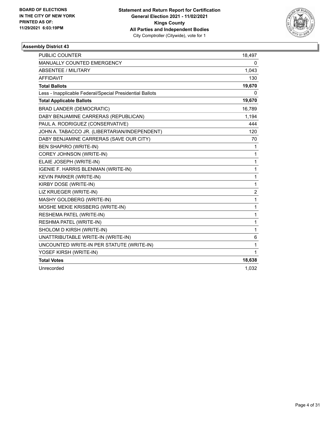

| <b>PUBLIC COUNTER</b>                                    | 18,497           |
|----------------------------------------------------------|------------------|
| <b>MANUALLY COUNTED EMERGENCY</b>                        | 0                |
| ABSENTEE / MILITARY                                      | 1,043            |
| <b>AFFIDAVIT</b>                                         | 130              |
| <b>Total Ballots</b>                                     | 19,670           |
| Less - Inapplicable Federal/Special Presidential Ballots | 0                |
| <b>Total Applicable Ballots</b>                          | 19,670           |
| <b>BRAD LANDER (DEMOCRATIC)</b>                          | 16,789           |
| DABY BENJAMINE CARRERAS (REPUBLICAN)                     | 1,194            |
| PAUL A. RODRIGUEZ (CONSERVATIVE)                         | 444              |
| JOHN A. TABACCO JR. (LIBERTARIAN/INDEPENDENT)            | 120              |
| DABY BENJAMINE CARRERAS (SAVE OUR CITY)                  | 70               |
| <b>BEN SHAPIRO (WRITE-IN)</b>                            | 1                |
| COREY JOHNSON (WRITE-IN)                                 | 1                |
| ELAIE JOSEPH (WRITE-IN)                                  | 1                |
| IGENIE F. HARRIS BLENMAN (WRITE-IN)                      | 1                |
| KEVIN PARKER (WRITE-IN)                                  | 1                |
| KIRBY DOSE (WRITE-IN)                                    | 1                |
| LIZ KRUEGER (WRITE-IN)                                   | $\boldsymbol{2}$ |
| MASHY GOLDBERG (WRITE-IN)                                | 1                |
| MOSHE MEKIE KRISBERG (WRITE-IN)                          | 1                |
| RESHEMA PATEL (WRITE-IN)                                 | 1                |
| RESHMA PATEL (WRITE-IN)                                  | 1                |
| SHOLOM D KIRSH (WRITE-IN)                                | 1                |
| UNATTRIBUTABLE WRITE-IN (WRITE-IN)                       | 6                |
| UNCOUNTED WRITE-IN PER STATUTE (WRITE-IN)                | 1                |
| YOSEF KIRSH (WRITE-IN)                                   | 1                |
| <b>Total Votes</b>                                       | 18,638           |
| Unrecorded                                               | 1,032            |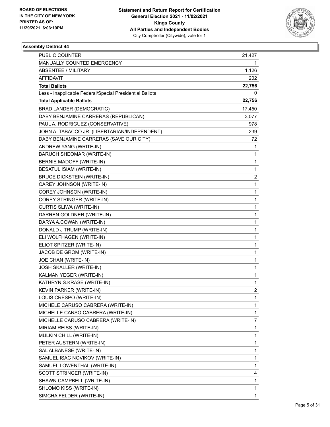

| PUBLIC COUNTER                                           | 21,427 |
|----------------------------------------------------------|--------|
| MANUALLY COUNTED EMERGENCY                               | 1      |
| ABSENTEE / MILITARY                                      | 1,126  |
| <b>AFFIDAVIT</b>                                         | 202    |
| <b>Total Ballots</b>                                     | 22,756 |
| Less - Inapplicable Federal/Special Presidential Ballots | 0      |
| <b>Total Applicable Ballots</b>                          | 22,756 |
| <b>BRAD LANDER (DEMOCRATIC)</b>                          | 17,450 |
| DABY BENJAMINE CARRERAS (REPUBLICAN)                     | 3,077  |
| PAUL A. RODRIGUEZ (CONSERVATIVE)                         | 978    |
| JOHN A. TABACCO JR. (LIBERTARIAN/INDEPENDENT)            | 239    |
| DABY BENJAMINE CARRERAS (SAVE OUR CITY)                  | 72     |
| ANDREW YANG (WRITE-IN)                                   | 1      |
| BARUCH SHEOMAR (WRITE-IN)                                | 1      |
| BERNIE MADOFF (WRITE-IN)                                 | 1      |
| BESATUL ISIAM (WRITE-IN)                                 | 1      |
| <b>BRUCE DICKSTEIN (WRITE-IN)</b>                        | 2      |
| CAREY JOHNSON (WRITE-IN)                                 | 1      |
| COREY JOHNSON (WRITE-IN)                                 | 1      |
| COREY STRINGER (WRITE-IN)                                | 1      |
| CURTIS SLIWA (WRITE-IN)                                  | 1      |
| DARREN GOLDNER (WRITE-IN)                                | 1      |
| DARYA A.COWAN (WRITE-IN)                                 | 1      |
| DONALD J TRUMP (WRITE-IN)                                | 1      |
| ELI WOLFHAGEN (WRITE-IN)                                 | 1      |
| ELIOT SPITZER (WRITE-IN)                                 | 1      |
| JACOB DE GROM (WRITE-IN)                                 | 1      |
| JOE CHAN (WRITE-IN)                                      | 1      |
| JOSH SKALLER (WRITE-IN)                                  | 1      |
| KALMAN YEGER (WRITE-IN)                                  | 1      |
| KATHRYN S.KRASE (WRITE-IN)                               | 1      |
| KEVIN PARKER (WRITE-IN)                                  | 2      |
| LOUIS CRESPO (WRITE-IN)                                  | 1      |
| MICHELE CARUSO CABRERA (WRITE-IN)                        | 1      |
| MICHELLE CANSO CABRERA (WRITE-IN)                        | 1      |
| MICHELLE CARUSO CABRERA (WRITE-IN)                       | 7      |
| MIRIAM REISS (WRITE-IN)                                  | 1      |
| MULKIN CHILL (WRITE-IN)                                  | 1      |
| PETER AUSTERN (WRITE-IN)                                 | 1      |
| SAL ALBANESE (WRITE-IN)                                  | 1      |
| SAMUEL ISAC NOVIKOV (WRITE-IN)                           | 1      |
| SAMUEL LOWENTHAL (WRITE-IN)                              | 1      |
| SCOTT STRINGER (WRITE-IN)                                | 4      |
| SHAWN CAMPBELL (WRITE-IN)                                | 1      |
| SHLOMO KISS (WRITE-IN)                                   | 1      |
| SIMCHA FELDER (WRITE-IN)                                 | 1      |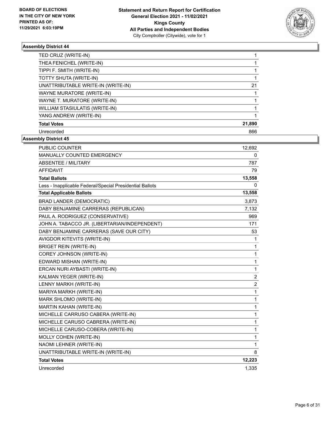

| TED CRUZ (WRITE-IN)                |        |
|------------------------------------|--------|
| THEA FENICHEL (WRITE-IN)           |        |
| TIPPI F. SMITH (WRITE-IN)          |        |
| TOTTY SHUTA (WRITE-IN)             |        |
| UNATTRIBUTABLE WRITE-IN (WRITE-IN) | 21     |
| WAYNE MURATORE (WRITE-IN)          |        |
| WAYNE T. MURATORE (WRITE-IN)       |        |
| WILLIAM STASIULATIS (WRITE-IN)     |        |
| YANG ANDREW (WRITE-IN)             |        |
| <b>Total Votes</b>                 | 21,890 |
| Unrecorded                         | 866    |

| <b>PUBLIC COUNTER</b>                                    | 12,692         |
|----------------------------------------------------------|----------------|
| MANUALLY COUNTED EMERGENCY                               | 0              |
| <b>ABSENTEE / MILITARY</b>                               | 787            |
| <b>AFFIDAVIT</b>                                         | 79             |
| <b>Total Ballots</b>                                     | 13,558         |
| Less - Inapplicable Federal/Special Presidential Ballots | 0              |
| <b>Total Applicable Ballots</b>                          | 13,558         |
| <b>BRAD LANDER (DEMOCRATIC)</b>                          | 3,873          |
| DABY BENJAMINE CARRERAS (REPUBLICAN)                     | 7,132          |
| PAUL A. RODRIGUEZ (CONSERVATIVE)                         | 969            |
| JOHN A. TABACCO JR. (LIBERTARIAN/INDEPENDENT)            | 171            |
| DABY BENJAMINE CARRERAS (SAVE OUR CITY)                  | 53             |
| AVIGDOR KITEVITS (WRITE-IN)                              | 1              |
| <b>BRIGET REIN (WRITE-IN)</b>                            | $\mathbf{1}$   |
| COREY JOHNSON (WRITE-IN)                                 | $\mathbf{1}$   |
| EDWARD MISHAN (WRITE-IN)                                 | $\mathbf{1}$   |
| ERCAN NURI AYBASTI (WRITE-IN)                            | $\mathbf{1}$   |
| KALMAN YEGER (WRITE-IN)                                  | $\overline{c}$ |
| LENNY MARKH (WRITE-IN)                                   | $\overline{c}$ |
| MARIYA MARKH (WRITE-IN)                                  | $\mathbf{1}$   |
| MARK SHLOMO (WRITE-IN)                                   | 1              |
| <b>MARTIN KAHAN (WRITE-IN)</b>                           | 1              |
| MICHELLE CARRUSO CABERA (WRITE-IN)                       | 1              |
| MICHELLE CARUSO CABRERA (WRITE-IN)                       | 1              |
| MICHELLE CARUSO-COBERA (WRITE-IN)                        | 1              |
| MOLLY COHEN (WRITE-IN)                                   | 1              |
| NAOMI LEHNER (WRITE-IN)                                  | $\mathbf{1}$   |
| UNATTRIBUTABLE WRITE-IN (WRITE-IN)                       | 8              |
| <b>Total Votes</b>                                       | 12,223         |
| Unrecorded                                               | 1,335          |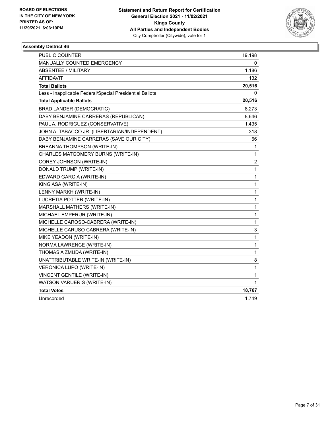

| PUBLIC COUNTER                                           | 19,198         |
|----------------------------------------------------------|----------------|
| MANUALLY COUNTED EMERGENCY                               | 0              |
| ABSENTEE / MILITARY                                      | 1,186          |
| AFFIDAVIT                                                | 132            |
| <b>Total Ballots</b>                                     | 20,516         |
| Less - Inapplicable Federal/Special Presidential Ballots | 0              |
| <b>Total Applicable Ballots</b>                          | 20,516         |
| <b>BRAD LANDER (DEMOCRATIC)</b>                          | 8,273          |
| DABY BENJAMINE CARRERAS (REPUBLICAN)                     | 8,646          |
| PAUL A. RODRIGUEZ (CONSERVATIVE)                         | 1,435          |
| JOHN A. TABACCO JR. (LIBERTARIAN/INDEPENDENT)            | 318            |
| DABY BENJAMINE CARRERAS (SAVE OUR CITY)                  | 66             |
| BREANNA THOMPSON (WRITE-IN)                              | 1              |
| CHARLES MATGOMERY BURNS (WRITE-IN)                       | 1              |
| COREY JOHNSON (WRITE-IN)                                 | $\overline{c}$ |
| DONALD TRUMP (WRITE-IN)                                  | $\mathbf{1}$   |
| EDWARD GARCIA (WRITE-IN)                                 | $\mathbf{1}$   |
| KING ASA (WRITE-IN)                                      | $\mathbf{1}$   |
| LENNY MARKH (WRITE-IN)                                   | $\mathbf{1}$   |
| LUCRETIA POTTER (WRITE-IN)                               | $\mathbf{1}$   |
| MARSHALL MATHERS (WRITE-IN)                              | $\mathbf{1}$   |
| MICHAEL EMPERUR (WRITE-IN)                               | $\mathbf{1}$   |
| MICHELLE CAROSO-CABRERA (WRITE-IN)                       | $\mathbf{1}$   |
| MICHELLE CARUSO CABRERA (WRITE-IN)                       | 3              |
| MIKE YEADON (WRITE-IN)                                   | $\mathbf{1}$   |
| NORMA LAWRENCE (WRITE-IN)                                | $\mathbf{1}$   |
| THOMAS A ZMUDA (WRITE-IN)                                | $\mathbf{1}$   |
| UNATTRIBUTABLE WRITE-IN (WRITE-IN)                       | 8              |
| VERONICA LUPO (WRITE-IN)                                 | $\mathbf{1}$   |
| <b>VINCENT GENTILE (WRITE-IN)</b>                        | 1              |
| WATSON VARUERIS (WRITE-IN)                               | 1              |
| <b>Total Votes</b>                                       | 18,767         |
| Unrecorded                                               | 1,749          |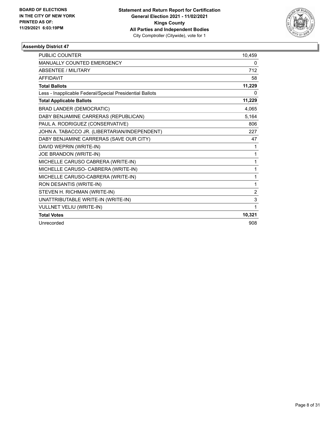

| <b>PUBLIC COUNTER</b>                                    | 10,459         |
|----------------------------------------------------------|----------------|
| <b>MANUALLY COUNTED EMERGENCY</b>                        | 0              |
| <b>ABSENTEE / MILITARY</b>                               | 712            |
| <b>AFFIDAVIT</b>                                         | 58             |
| <b>Total Ballots</b>                                     | 11,229         |
| Less - Inapplicable Federal/Special Presidential Ballots | 0              |
| <b>Total Applicable Ballots</b>                          | 11,229         |
| <b>BRAD LANDER (DEMOCRATIC)</b>                          | 4,065          |
| DABY BENJAMINE CARRERAS (REPUBLICAN)                     | 5,164          |
| PAUL A. RODRIGUEZ (CONSERVATIVE)                         | 806            |
| JOHN A. TABACCO JR. (LIBERTARIAN/INDEPENDENT)            | 227            |
| DABY BENJAMINE CARRERAS (SAVE OUR CITY)                  | 47             |
| DAVID WEPRIN (WRITE-IN)                                  | 1              |
| JOE BRANDON (WRITE-IN)                                   | 1              |
| MICHELLE CARUSO CABRERA (WRITE-IN)                       | 1              |
| MICHELLE CARUSO- CABRERA (WRITE-IN)                      | 1              |
| MICHELLE CARUSO-CABRERA (WRITE-IN)                       | 1              |
| RON DESANTIS (WRITE-IN)                                  | 1              |
| STEVEN H. RICHMAN (WRITE-IN)                             | $\overline{2}$ |
| UNATTRIBUTABLE WRITE-IN (WRITE-IN)                       | 3              |
| VULLNET VELIU (WRITE-IN)                                 | 1              |
| <b>Total Votes</b>                                       | 10,321         |
| Unrecorded                                               | 908            |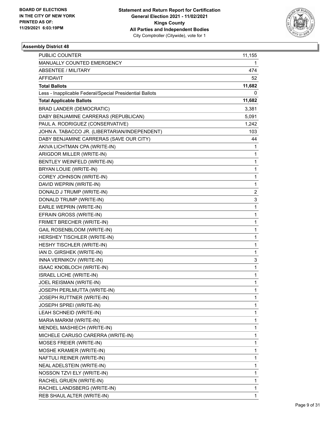

| PUBLIC COUNTER                                           | 11,155       |
|----------------------------------------------------------|--------------|
| MANUALLY COUNTED EMERGENCY                               | 1            |
| <b>ABSENTEE / MILITARY</b>                               | 474          |
| AFFIDAVIT                                                | 52           |
| <b>Total Ballots</b>                                     | 11,682       |
| Less - Inapplicable Federal/Special Presidential Ballots | 0            |
| <b>Total Applicable Ballots</b>                          | 11,682       |
| <b>BRAD LANDER (DEMOCRATIC)</b>                          | 3,381        |
| DABY BENJAMINE CARRERAS (REPUBLICAN)                     | 5,091        |
| PAUL A. RODRIGUEZ (CONSERVATIVE)                         | 1,242        |
| JOHN A. TABACCO JR. (LIBERTARIAN/INDEPENDENT)            | 103          |
| DABY BENJAMINE CARRERAS (SAVE OUR CITY)                  | 44           |
| AKIVA LICHTMAN CPA (WRITE-IN)                            | 1            |
| ARIGDOR MILLER (WRITE-IN)                                | 1            |
| BENTLEY WEINFELD (WRITE-IN)                              | 1            |
| BRYAN LOUIE (WRITE-IN)                                   | 1            |
| COREY JOHNSON (WRITE-IN)                                 | 1            |
| DAVID WEPRIN (WRITE-IN)                                  | 1            |
| DONALD J TRUMP (WRITE-IN)                                | 2            |
| DONALD TRUMP (WRITE-IN)                                  | 3            |
| EARLE WEPRIN (WRITE-IN)                                  | 1            |
| EFRAIN GROSS (WRITE-IN)                                  | 1            |
| FRIMET BRECHER (WRITE-IN)                                | 1            |
| GAIL ROSENBLOOM (WRITE-IN)                               | 1            |
| HERSHEY TISCHLER (WRITE-IN)                              | 1            |
| HESHY TISCHLER (WRITE-IN)                                | 1            |
| IAN D. GIRSHEK (WRITE-IN)                                | 1            |
| INNA VERNIKOV (WRITE-IN)                                 | 3            |
| ISAAC KNOBLOCH (WRITE-IN)                                | 1            |
| ISRAEL LICHE (WRITE-IN)                                  | 1            |
| JOEL REISMAN (WRITE-IN)                                  | 1            |
| JOSEPH PERLMUTTA (WRITE-IN)                              | $\mathbf{1}$ |
| <b>JOSEPH RUTTNER (WRITE-IN)</b>                         | 1            |
| JOSEPH SPREI (WRITE-IN)                                  | 1            |
| LEAH SCHNEID (WRITE-IN)                                  | 1            |
| MARIA MARKM (WRITE-IN)                                   | 1            |
| MENDEL MASHIECH (WRITE-IN)                               | 1            |
| MICHELE CARUSO CARERRA (WRITE-IN)                        | 1            |
| <b>MOSES FREIER (WRITE-IN)</b>                           | 1            |
| MOSHE KRAMER (WRITE-IN)                                  | 1            |
| NAFTULI REINER (WRITE-IN)                                | 1            |
| NEAL ADELSTEIN (WRITE-IN)                                | 1            |
| NOSSON TZVI ELY (WRITE-IN)                               | 1            |
| RACHEL GRUEN (WRITE-IN)                                  | 1            |
| RACHEL LANDSBERG (WRITE-IN)                              | 1            |
| REB SHAUL ALTER (WRITE-IN)                               | 1            |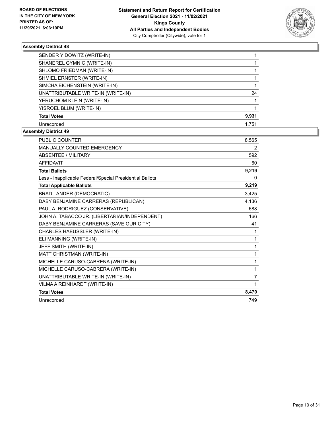

| SENDER YIDOWITZ (WRITE-IN)         |       |
|------------------------------------|-------|
| SHANEREL GYMNIC (WRITE-IN)         |       |
| SHLOMO FRIEDMAN (WRITE-IN)         |       |
| SHMIEL ERNSTER (WRITE-IN)          |       |
| SIMCHA EICHENSTEIN (WRITE-IN)      |       |
| UNATTRIBUTABLE WRITE-IN (WRITE-IN) | 24    |
| YERUCHOM KLEIN (WRITE-IN)          |       |
| YISROEL BLUM (WRITE-IN)            |       |
| <b>Total Votes</b>                 | 9,931 |
| Unrecorded                         | 1.751 |

| <b>PUBLIC COUNTER</b>                                    | 8,565 |
|----------------------------------------------------------|-------|
| <b>MANUALLY COUNTED EMERGENCY</b>                        | 2     |
| <b>ABSENTEE / MILITARY</b>                               | 592   |
| <b>AFFIDAVIT</b>                                         | 60    |
| <b>Total Ballots</b>                                     | 9,219 |
| Less - Inapplicable Federal/Special Presidential Ballots | 0     |
| <b>Total Applicable Ballots</b>                          | 9,219 |
| <b>BRAD LANDER (DEMOCRATIC)</b>                          | 3,425 |
| DABY BENJAMINE CARRERAS (REPUBLICAN)                     | 4,136 |
| PAUL A. RODRIGUEZ (CONSERVATIVE)                         | 688   |
| JOHN A. TABACCO JR. (LIBERTARIAN/INDEPENDENT)            | 166   |
| DABY BENJAMINE CARRERAS (SAVE OUR CITY)                  | 41    |
| CHARLES HAEUSSLER (WRITE-IN)                             | 1     |
| ELI MANNING (WRITE-IN)                                   | 1     |
| JEFF SMITH (WRITE-IN)                                    | 1     |
| MATT CHRISTMAN (WRITE-IN)                                | 1     |
| MICHELLE CARUSO-CABRENA (WRITE-IN)                       | 1     |
| MICHELLE CARUSO-CABRERA (WRITE-IN)                       | 1     |
| UNATTRIBUTABLE WRITE-IN (WRITE-IN)                       | 7     |
| VILMA A REINHARDT (WRITE-IN)                             | 1     |
| <b>Total Votes</b>                                       | 8,470 |
| Unrecorded                                               | 749   |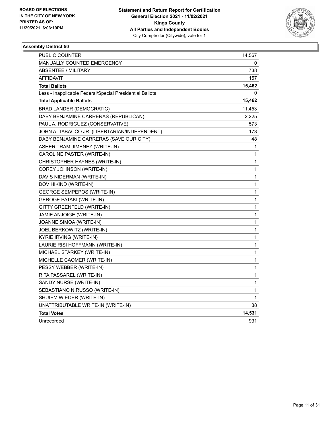

| <b>PUBLIC COUNTER</b>                                    | 14,567 |
|----------------------------------------------------------|--------|
| <b>MANUALLY COUNTED EMERGENCY</b>                        | 0      |
| <b>ABSENTEE / MILITARY</b>                               | 738    |
| AFFIDAVIT                                                | 157    |
| <b>Total Ballots</b>                                     | 15,462 |
| Less - Inapplicable Federal/Special Presidential Ballots | 0      |
| <b>Total Applicable Ballots</b>                          | 15,462 |
| <b>BRAD LANDER (DEMOCRATIC)</b>                          | 11,453 |
| DABY BENJAMINE CARRERAS (REPUBLICAN)                     | 2,225  |
| PAUL A. RODRIGUEZ (CONSERVATIVE)                         | 573    |
| JOHN A. TABACCO JR. (LIBERTARIAN/INDEPENDENT)            | 173    |
| DABY BENJAMINE CARRERAS (SAVE OUR CITY)                  | 48     |
| ASHER TRAM JIMENEZ (WRITE-IN)                            | 1      |
| CAROLINE PASTER (WRITE-IN)                               | 1      |
| CHRISTOPHER HAYNES (WRITE-IN)                            | 1      |
| COREY JOHNSON (WRITE-IN)                                 | 1      |
| DAVIS NIDERMAN (WRITE-IN)                                | 1      |
| DOV HIKIND (WRITE-IN)                                    | 1      |
| <b>GEORGE SEMPEPOS (WRITE-IN)</b>                        | 1      |
| <b>GEROGE PATAKI (WRITE-IN)</b>                          | 1      |
| GITTY GREENFELD (WRITE-IN)                               | 1      |
| JAMIE ANJOIGE (WRITE-IN)                                 | 1      |
| JOANNE SIMOA (WRITE-IN)                                  | 1      |
| JOEL BERKOWITZ (WRITE-IN)                                | 1      |
| KYRIE IRVING (WRITE-IN)                                  | 1      |
| LAURIE RISI HOFFMANN (WRITE-IN)                          | 1      |
| MICHAEL STARKEY (WRITE-IN)                               | 1      |
| MICHELLE CAOMER (WRITE-IN)                               | 1      |
| PESSY WEBBER (WRITE-IN)                                  | 1      |
| RITA PASSAREL (WRITE-IN)                                 | 1      |
| SANDY NURSE (WRITE-IN)                                   | 1      |
| SEBASTIANO N.RUSSO (WRITE-IN)                            | 1      |
| SHUIEM WIEDER (WRITE-IN)                                 | 1      |
| UNATTRIBUTABLE WRITE-IN (WRITE-IN)                       | 38     |
| <b>Total Votes</b>                                       | 14,531 |
| Unrecorded                                               | 931    |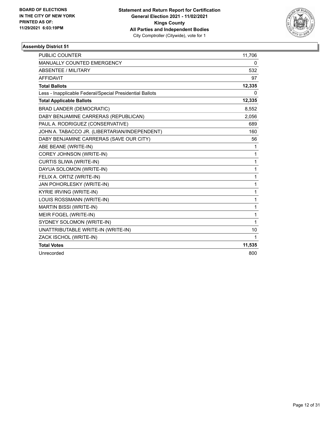

| PUBLIC COUNTER                                           | 11,706       |
|----------------------------------------------------------|--------------|
| MANUALLY COUNTED EMERGENCY                               | 0            |
| <b>ABSENTEE / MILITARY</b>                               | 532          |
| <b>AFFIDAVIT</b>                                         | 97           |
| <b>Total Ballots</b>                                     | 12,335       |
| Less - Inapplicable Federal/Special Presidential Ballots | <sup>0</sup> |
| <b>Total Applicable Ballots</b>                          | 12,335       |
| <b>BRAD LANDER (DEMOCRATIC)</b>                          | 8,552        |
| DABY BENJAMINE CARRERAS (REPUBLICAN)                     | 2,056        |
| PAUL A. RODRIGUEZ (CONSERVATIVE)                         | 689          |
| JOHN A. TABACCO JR. (LIBERTARIAN/INDEPENDENT)            | 160          |
| DABY BENJAMINE CARRERAS (SAVE OUR CITY)                  | 56           |
| ABE BEANE (WRITE-IN)                                     | 1            |
| COREY JOHNSON (WRITE-IN)                                 | 1            |
| <b>CURTIS SLIWA (WRITE-IN)</b>                           | 1            |
| DAYUA SOLOMON (WRITE-IN)                                 | $\mathbf{1}$ |
| FELIX A. ORTIZ (WRITE-IN)                                | 1            |
| JAN POHORLESKY (WRITE-IN)                                | 1            |
| <b>KYRIE IRVING (WRITE-IN)</b>                           | 1            |
| LOUIS ROSSMANN (WRITE-IN)                                | 1            |
| <b>MARTIN BISSI (WRITE-IN)</b>                           | 1            |
| MEIR FOGEL (WRITE-IN)                                    | 1            |
| SYDNEY SOLOMON (WRITE-IN)                                | 1            |
| UNATTRIBUTABLE WRITE-IN (WRITE-IN)                       | 10           |
| ZACK ISCHOL (WRITE-IN)                                   | 1            |
| <b>Total Votes</b>                                       | 11,535       |
| Unrecorded                                               | 800          |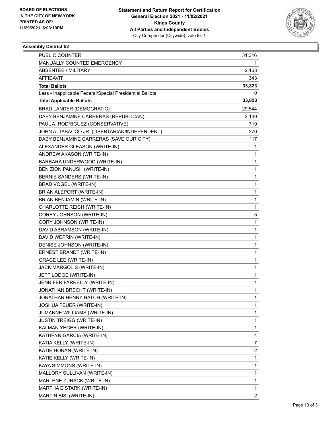

| PUBLIC COUNTER                                           | 31,316         |
|----------------------------------------------------------|----------------|
| MANUALLY COUNTED EMERGENCY                               | 1              |
| <b>ABSENTEE / MILITARY</b>                               | 2,163          |
| AFFIDAVIT                                                | 343            |
| <b>Total Ballots</b>                                     | 33,823         |
| Less - Inapplicable Federal/Special Presidential Ballots | 0              |
| <b>Total Applicable Ballots</b>                          | 33,823         |
| <b>BRAD LANDER (DEMOCRATIC)</b>                          | 29,544         |
| DABY BENJAMINE CARRERAS (REPUBLICAN)                     | 2,140          |
| PAUL A. RODRIGUEZ (CONSERVATIVE)                         | 719            |
| JOHN A. TABACCO JR. (LIBERTARIAN/INDEPENDENT)            | 370            |
| DABY BENJAMINE CARRERAS (SAVE OUR CITY)                  | 117            |
| ALEXANDER GLEASON (WRITE-IN)                             | 1              |
| ANDREW AKASON (WRITE-IN)                                 | 1              |
| BARBARA UNDERWOOD (WRITE-IN)                             | 1              |
| BEN ZION PANUSH (WRITE-IN)                               | 1              |
| BERNIE SANDERS (WRITE-IN)                                | 1              |
| <b>BRAD VOGEL (WRITE-IN)</b>                             | 1              |
| BRIAN ALEPORT (WRITE-IN)                                 | 1              |
| BRIAN BENJAMIN (WRITE-IN)                                | 1              |
| CHARLOTTE REICH (WRITE-IN)                               | 1              |
| COREY JOHNSON (WRITE-IN)                                 | 5              |
| CORY JOHNSON (WRITE-IN)                                  | 1              |
| DAVID ABRAMSON (WRITE-IN)                                | 1              |
| DAVID WEPRIN (WRITE-IN)                                  | 1              |
| DENISE JOHNSON (WRITE-IN)                                | 1              |
| ERNEST BRANDT (WRITE-IN)                                 | 1              |
| <b>GRACE LEE (WRITE-IN)</b>                              | 1              |
| JACK MARGOLIS (WRITE-IN)                                 | 1              |
| JEFF LODGE (WRITE-IN)                                    | 1              |
| JENNIFER FARRELLY (WRITE-IN)                             | 1              |
| JONATHAN BRECHT (WRITE-IN)                               | 1              |
| JONATHAN HENRY HATCH (WRITE-IN)                          | 1              |
| JOSHUA FEUER (WRITE-IN)                                  | 1              |
| JUMANNE WILLIAMS (WRITE-IN)                              | 1              |
| <b>JUSTIN TREIGG (WRITE-IN)</b>                          | 1              |
| KALMAN YEGER (WRITE-IN)                                  | 1              |
| KATHRYN GARCIA (WRITE-IN)                                | 4              |
| KATIA KELLY (WRITE-IN)                                   | 7              |
| KATIE HONAN (WRITE-IN)                                   | 2              |
| KATIE KELLY (WRITE-IN)                                   | 1              |
| KAYA SIMMONS (WRITE-IN)                                  | 1              |
| MALLORY SULLIVAN (WRITE-IN)                              | 1              |
| MARLENE ZURACK (WRITE-IN)                                | 1              |
| MARTHA E STARK (WRITE-IN)                                | 1              |
| MARTIN BISI (WRITE-IN)                                   | $\overline{2}$ |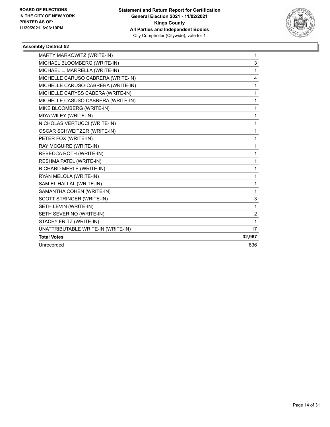

| MARTY MARKOWITZ (WRITE-IN)         | 1              |
|------------------------------------|----------------|
| MICHAEL BLOOMBERG (WRITE-IN)       | 3              |
| MICHAEL L. MARRELLA (WRITE-IN)     | 1              |
| MICHELLE CARUSO CABRERA (WRITE-IN) | 4              |
| MICHELLE CARUSO-CABRERA (WRITE-IN) | 1              |
| MICHELLE CARYSS CABERA (WRITE-IN)  | 1              |
| MICHELLE CASUSO CABRERA (WRITE-IN) | 1              |
| MIKE BLOOMBERG (WRITE-IN)          | 1              |
| MIYA WILEY (WRITE-IN)              | 1              |
| NICHOLAS VERTUCCI (WRITE-IN)       | 1              |
| OSCAR SCHWEITZER (WRITE-IN)        | 1              |
| PETER FOX (WRITE-IN)               | 1              |
| RAY MCGUIRE (WRITE-IN)             | 1              |
| REBECCA ROTH (WRITE-IN)            | 1              |
| RESHMA PATEL (WRITE-IN)            | 1              |
| RICHARD MERLE (WRITE-IN)           | 1              |
| RYAN MELOLA (WRITE-IN)             | 1              |
| SAM EL HALLAL (WRITE-IN)           | 1              |
| SAMANTHA COHEN (WRITE-IN)          | 1              |
| SCOTT STRINGER (WRITE-IN)          | 3              |
| SETH LEVIN (WRITE-IN)              | 1              |
| SETH SEVERINO (WRITE-IN)           | $\overline{2}$ |
| STACEY FRITZ (WRITE-IN)            | 1              |
| UNATTRIBUTABLE WRITE-IN (WRITE-IN) | 17             |
| <b>Total Votes</b>                 | 32,987         |
| Unrecorded                         | 836            |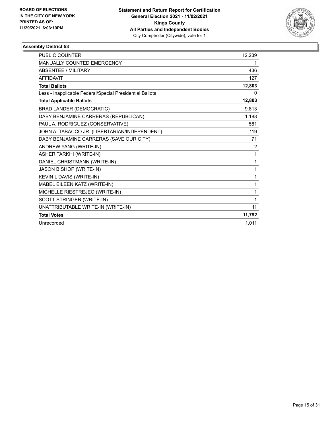

| <b>PUBLIC COUNTER</b>                                    | 12,239         |
|----------------------------------------------------------|----------------|
| MANUALLY COUNTED EMERGENCY                               | 1              |
| <b>ABSENTEE / MILITARY</b>                               | 436            |
| <b>AFFIDAVIT</b>                                         | 127            |
| <b>Total Ballots</b>                                     | 12,803         |
| Less - Inapplicable Federal/Special Presidential Ballots | 0              |
| <b>Total Applicable Ballots</b>                          | 12,803         |
| <b>BRAD LANDER (DEMOCRATIC)</b>                          | 9,813          |
| DABY BENJAMINE CARRERAS (REPUBLICAN)                     | 1,188          |
| PAUL A. RODRIGUEZ (CONSERVATIVE)                         | 581            |
| JOHN A. TABACCO JR. (LIBERTARIAN/INDEPENDENT)            | 119            |
| DABY BENJAMINE CARRERAS (SAVE OUR CITY)                  | 71             |
| ANDREW YANG (WRITE-IN)                                   | $\overline{2}$ |
| <b>ASHER TARKHI (WRITE-IN)</b>                           | 1              |
| DANIEL CHRISTMANN (WRITE-IN)                             | 1              |
| JASON BISHOP (WRITE-IN)                                  | 1              |
| KEVIN L DAVIS (WRITE-IN)                                 | 1              |
| MABEL EILEEN KATZ (WRITE-IN)                             | 1              |
| MICHELLE RIESTREJEO (WRITE-IN)                           | 1              |
| SCOTT STRINGER (WRITE-IN)                                | 1              |
| UNATTRIBUTABLE WRITE-IN (WRITE-IN)                       | 11             |
| <b>Total Votes</b>                                       | 11,792         |
| Unrecorded                                               | 1,011          |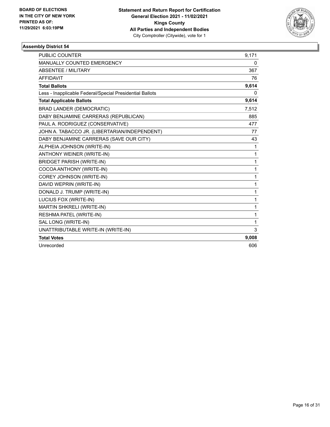

| <b>PUBLIC COUNTER</b>                                    | 9,171 |
|----------------------------------------------------------|-------|
| MANUALLY COUNTED EMERGENCY                               | 0     |
| ABSENTEE / MILITARY                                      | 367   |
| <b>AFFIDAVIT</b>                                         | 76    |
| <b>Total Ballots</b>                                     | 9,614 |
| Less - Inapplicable Federal/Special Presidential Ballots | 0     |
| <b>Total Applicable Ballots</b>                          | 9,614 |
| <b>BRAD LANDER (DEMOCRATIC)</b>                          | 7,512 |
| DABY BENJAMINE CARRERAS (REPUBLICAN)                     | 885   |
| PAUL A. RODRIGUEZ (CONSERVATIVE)                         | 477   |
| JOHN A. TABACCO JR. (LIBERTARIAN/INDEPENDENT)            | 77    |
| DABY BENJAMINE CARRERAS (SAVE OUR CITY)                  | 43    |
| ALPHEIA JOHNSON (WRITE-IN)                               | 1     |
| ANTHONY WEINER (WRITE-IN)                                | 1     |
| <b>BRIDGET PARISH (WRITE-IN)</b>                         | 1     |
| COCOA ANTHONY (WRITE-IN)                                 | 1     |
| COREY JOHNSON (WRITE-IN)                                 | 1     |
| DAVID WEPRIN (WRITE-IN)                                  | 1     |
| DONALD J. TRUMP (WRITE-IN)                               | 1     |
| LUCIUS FOX (WRITE-IN)                                    | 1     |
| MARTIN SHKRELI (WRITE-IN)                                | 1     |
| RESHMA PATEL (WRITE-IN)                                  | 1     |
| SAL LONG (WRITE-IN)                                      | 1     |
| UNATTRIBUTABLE WRITE-IN (WRITE-IN)                       | 3     |
| <b>Total Votes</b>                                       | 9,008 |
| Unrecorded                                               | 606   |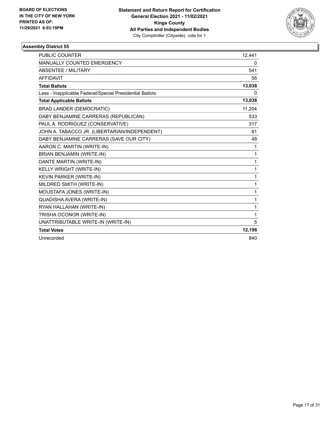

| <b>PUBLIC COUNTER</b>                                    | 12,441 |
|----------------------------------------------------------|--------|
| MANUALLY COUNTED EMERGENCY                               | 0      |
| ABSENTEE / MILITARY                                      | 541    |
| <b>AFFIDAVIT</b>                                         | 56     |
| <b>Total Ballots</b>                                     | 13,038 |
| Less - Inapplicable Federal/Special Presidential Ballots | 0      |
| <b>Total Applicable Ballots</b>                          | 13,038 |
| <b>BRAD LANDER (DEMOCRATIC)</b>                          | 11,204 |
| DABY BENJAMINE CARRERAS (REPUBLICAN)                     | 533    |
| PAUL A. RODRIGUEZ (CONSERVATIVE)                         | 317    |
| JOHN A. TABACCO JR. (LIBERTARIAN/INDEPENDENT)            | 81     |
| DABY BENJAMINE CARRERAS (SAVE OUR CITY)                  | 48     |
| AARON C. MARTIN (WRITE-IN)                               | 1      |
| <b>BRIAN BENJAMIN (WRITE-IN)</b>                         | 1      |
| DANTE MARTIN (WRITE-IN)                                  | 1      |
| <b>KELLY WRIGHT (WRITE-IN)</b>                           | 1      |
| <b>KEVIN PARKER (WRITE-IN)</b>                           | 1      |
| MILDRED SMITH (WRITE-IN)                                 | 1      |
| MOUSTAFA JONES (WRITE-IN)                                | 1      |
| QUADISHA AVERA (WRITE-IN)                                | 1      |
| RYAN HALLAHAN (WRITE-IN)                                 | 1      |
| TRISHA OCONOR (WRITE-IN)                                 | 1      |
| UNATTRIBUTABLE WRITE-IN (WRITE-IN)                       | 5      |
| <b>Total Votes</b>                                       | 12,198 |
| Unrecorded                                               | 840    |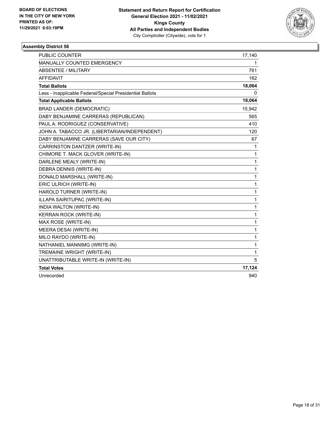

| <b>PUBLIC COUNTER</b>                                    | 17,140       |
|----------------------------------------------------------|--------------|
| <b>MANUALLY COUNTED EMERGENCY</b>                        | 1            |
| <b>ABSENTEE / MILITARY</b>                               | 761          |
| <b>AFFIDAVIT</b>                                         | 162          |
| <b>Total Ballots</b>                                     | 18,064       |
| Less - Inapplicable Federal/Special Presidential Ballots | 0            |
| <b>Total Applicable Ballots</b>                          | 18,064       |
| <b>BRAD LANDER (DEMOCRATIC)</b>                          | 15,942       |
| DABY BENJAMINE CARRERAS (REPUBLICAN)                     | 565          |
| PAUL A. RODRIGUEZ (CONSERVATIVE)                         | 410          |
| JOHN A. TABACCO JR. (LIBERTARIAN/INDEPENDENT)            | 120          |
| DABY BENJAMINE CARRERAS (SAVE OUR CITY)                  | 67           |
| CARRINSTON DANTZER (WRITE-IN)                            | 1            |
| CHIMORE T. MACK GLOVER (WRITE-IN)                        | $\mathbf{1}$ |
| DARLENE MEALY (WRITE-IN)                                 | 1            |
| DEBRA DENNIS (WRITE-IN)                                  | $\mathbf 1$  |
| DONALD MARSHALL (WRITE-IN)                               | 1            |
| ERIC ULRICH (WRITE-IN)                                   | 1            |
| HAROLD TURNER (WRITE-IN)                                 | $\mathbf{1}$ |
| ILLAPA SAIRITUPAC (WRITE-IN)                             | $\mathbf{1}$ |
| INDIA WALTON (WRITE-IN)                                  | $\mathbf{1}$ |
| KERRAN ROCK (WRITE-IN)                                   | 1            |
| MAX ROSE (WRITE-IN)                                      | 1            |
| MEERA DESAI (WRITE-IN)                                   | 1            |
| MILO RAYDO (WRITE-IN)                                    | 1            |
| NATHANIEL MANNIMG (WRITE-IN)                             | 1            |
| TREMAINE WRIGHT (WRITE-IN)                               | 1            |
| UNATTRIBUTABLE WRITE-IN (WRITE-IN)                       | 5            |
| <b>Total Votes</b>                                       | 17,124       |
| Unrecorded                                               | 940          |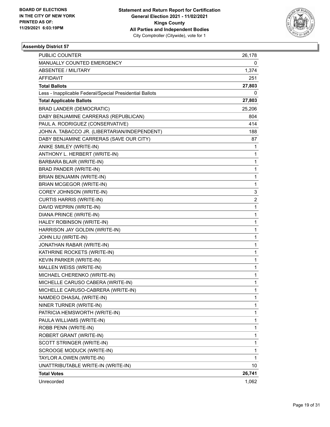

| PUBLIC COUNTER                                           | 26,178       |
|----------------------------------------------------------|--------------|
| MANUALLY COUNTED EMERGENCY                               | 0            |
| <b>ABSENTEE / MILITARY</b>                               | 1,374        |
| AFFIDAVIT                                                | 251          |
| <b>Total Ballots</b>                                     | 27,803       |
| Less - Inapplicable Federal/Special Presidential Ballots | 0            |
| <b>Total Applicable Ballots</b>                          | 27,803       |
| <b>BRAD LANDER (DEMOCRATIC)</b>                          | 25,206       |
| DABY BENJAMINE CARRERAS (REPUBLICAN)                     | 804          |
| PAUL A. RODRIGUEZ (CONSERVATIVE)                         | 414          |
| JOHN A. TABACCO JR. (LIBERTARIAN/INDEPENDENT)            | 188          |
| DABY BENJAMINE CARRERAS (SAVE OUR CITY)                  | 87           |
| ANIKE SMILEY (WRITE-IN)                                  | 1            |
| ANTHONY L. HERBERT (WRITE-IN)                            | 1            |
| BARBARA BLAIR (WRITE-IN)                                 | 1            |
| BRAD PANDER (WRITE-IN)                                   | 1            |
| BRIAN BENJAMIN (WRITE-IN)                                | 1            |
| <b>BRIAN MCGEGOR (WRITE-IN)</b>                          | 1            |
| COREY JOHNSON (WRITE-IN)                                 | 3            |
| <b>CURTIS HARRIS (WRITE-IN)</b>                          | 2            |
| DAVID WEPRIN (WRITE-IN)                                  | 1            |
| DIANA PRINCE (WRITE-IN)                                  | 1            |
| HALEY ROBINSON (WRITE-IN)                                | 1            |
| HARRISON JAY GOLDIN (WRITE-IN)                           | 1            |
| JOHN LIU (WRITE-IN)                                      | 1            |
| JONATHAN RABAR (WRITE-IN)                                | 1            |
| KATHRINE ROCKETS (WRITE-IN)                              | 1            |
| KEVIN PARKER (WRITE-IN)                                  | 1            |
| MALLEN WEISS (WRITE-IN)                                  | 1            |
| MICHAEL CHERENKO (WRITE-IN)                              | 1            |
| MICHELLE CARUSO CABERA (WRITE-IN)                        | 1            |
| MICHELLE CARUSO-CABRERA (WRITE-IN)                       | $\mathbf{1}$ |
| NAMDEO DHASAL (WRITE-IN)                                 | 1            |
| NINER TURNER (WRITE-IN)                                  | 1            |
| PATRICIA HEMSWORTH (WRITE-IN)                            | 1            |
| PAULA WILLIAMS (WRITE-IN)                                | 1            |
| ROBB PENN (WRITE-IN)                                     | 1            |
| ROBERT GRANT (WRITE-IN)                                  | 1            |
| SCOTT STRINGER (WRITE-IN)                                | 1            |
| SCROOGE MODUCK (WRITE-IN)                                | 1            |
| TAYLOR A.OWEN (WRITE-IN)                                 | 1            |
| UNATTRIBUTABLE WRITE-IN (WRITE-IN)                       | 10           |
| <b>Total Votes</b>                                       | 26,741       |
| Unrecorded                                               | 1,062        |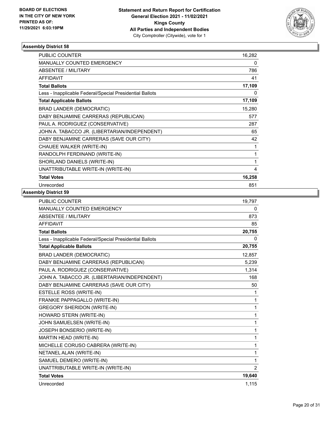

| <b>PUBLIC COUNTER</b>                                    | 16,282 |
|----------------------------------------------------------|--------|
| MANUALLY COUNTED EMERGENCY                               | 0      |
| <b>ABSENTEE / MILITARY</b>                               | 786    |
| <b>AFFIDAVIT</b>                                         | 41     |
| <b>Total Ballots</b>                                     | 17,109 |
| Less - Inapplicable Federal/Special Presidential Ballots | 0      |
| <b>Total Applicable Ballots</b>                          | 17,109 |
| <b>BRAD LANDER (DEMOCRATIC)</b>                          | 15,280 |
| DABY BENJAMINE CARRERAS (REPUBLICAN)                     | 577    |
| PAUL A. RODRIGUEZ (CONSERVATIVE)                         | 287    |
| JOHN A. TABACCO JR. (LIBERTARIAN/INDEPENDENT)            | 65     |
| DABY BENJAMINE CARRERAS (SAVE OUR CITY)                  | 42     |
| CHAUEE WALKER (WRITE-IN)                                 | 1      |
| RANDOLPH FERDINAND (WRITE-IN)                            | 1      |
| SHORLAND DANIELS (WRITE-IN)                              | 1      |
| UNATTRIBUTABLE WRITE-IN (WRITE-IN)                       | 4      |
| <b>Total Votes</b>                                       | 16,258 |
| Unrecorded                                               | 851    |

| <b>PUBLIC COUNTER</b>                                    | 19,797 |
|----------------------------------------------------------|--------|
| MANUALLY COUNTED EMERGENCY                               | 0      |
| <b>ABSENTEE / MILITARY</b>                               | 873    |
| <b>AFFIDAVIT</b>                                         | 85     |
| <b>Total Ballots</b>                                     | 20,755 |
| Less - Inapplicable Federal/Special Presidential Ballots | 0      |
| <b>Total Applicable Ballots</b>                          | 20,755 |
| <b>BRAD LANDER (DEMOCRATIC)</b>                          | 12,857 |
| DABY BENJAMINE CARRERAS (REPUBLICAN)                     | 5,239  |
| PAUL A. RODRIGUEZ (CONSERVATIVE)                         | 1,314  |
| JOHN A. TABACCO JR. (LIBERTARIAN/INDEPENDENT)            | 168    |
| DABY BENJAMINE CARRERAS (SAVE OUR CITY)                  | 50     |
| ESTELLE ROSS (WRITE-IN)                                  | 1      |
| FRANKIE PAPPAGALLO (WRITE-IN)                            | 1      |
| <b>GREGORY SHERIDON (WRITE-IN)</b>                       | 1      |
| HOWARD STERN (WRITE-IN)                                  | 1      |
| JOHN SAMUELSEN (WRITE-IN)                                | 1      |
| JOSEPH BONSERIO (WRITE-IN)                               | 1      |
| MARTIN HEAD (WRITE-IN)                                   | 1      |
| MICHELLE CORUSO CABRERA (WRITE-IN)                       | 1      |
| NETANEL ALAN (WRITE-IN)                                  | 1      |
| SAMUEL DEMERO (WRITE-IN)                                 | 1      |
| UNATTRIBUTABLE WRITE-IN (WRITE-IN)                       | 2      |
| <b>Total Votes</b>                                       | 19,640 |
| Unrecorded                                               | 1,115  |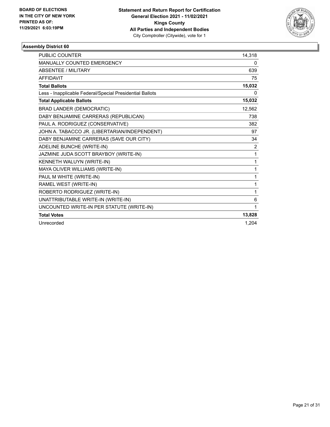

| <b>PUBLIC COUNTER</b>                                    | 14,318 |
|----------------------------------------------------------|--------|
| <b>MANUALLY COUNTED EMERGENCY</b>                        | 0      |
| <b>ABSENTEE / MILITARY</b>                               | 639    |
| <b>AFFIDAVIT</b>                                         | 75     |
| <b>Total Ballots</b>                                     | 15,032 |
| Less - Inapplicable Federal/Special Presidential Ballots | 0      |
| <b>Total Applicable Ballots</b>                          | 15,032 |
| <b>BRAD LANDER (DEMOCRATIC)</b>                          | 12,562 |
| DABY BENJAMINE CARRERAS (REPUBLICAN)                     | 738    |
| PAUL A. RODRIGUEZ (CONSERVATIVE)                         | 382    |
| JOHN A. TABACCO JR. (LIBERTARIAN/INDEPENDENT)            | 97     |
| DABY BENJAMINE CARRERAS (SAVE OUR CITY)                  | 34     |
| ADELINE BUNCHE (WRITE-IN)                                | 2      |
| JAZMINE JUDA SCOTT BRAYBOY (WRITE-IN)                    | 1      |
| KENNETH WALUYN (WRITE-IN)                                | 1      |
| MAYA OLIVER WILLIAMS (WRITE-IN)                          | 1      |
| PAUL M WHITE (WRITE-IN)                                  | 1      |
| RAMEL WEST (WRITE-IN)                                    | 1      |
| ROBERTO RODRIGUEZ (WRITE-IN)                             | 1      |
| UNATTRIBUTABLE WRITE-IN (WRITE-IN)                       | 6      |
| UNCOUNTED WRITE-IN PER STATUTE (WRITE-IN)                | 1      |
| <b>Total Votes</b>                                       | 13,828 |
| Unrecorded                                               | 1,204  |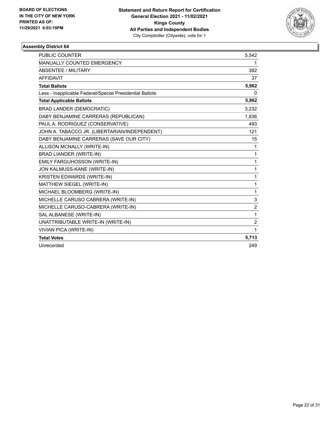

| <b>PUBLIC COUNTER</b>                                    | 5,542          |
|----------------------------------------------------------|----------------|
| MANUALLY COUNTED EMERGENCY                               | 1              |
| ABSENTEE / MILITARY                                      | 382            |
| <b>AFFIDAVIT</b>                                         | 37             |
| <b>Total Ballots</b>                                     | 5,962          |
| Less - Inapplicable Federal/Special Presidential Ballots | 0              |
| <b>Total Applicable Ballots</b>                          | 5,962          |
| <b>BRAD LANDER (DEMOCRATIC)</b>                          | 3,232          |
| DABY BENJAMINE CARRERAS (REPUBLICAN)                     | 1,836          |
| PAUL A. RODRIGUEZ (CONSERVATIVE)                         | 493            |
| JOHN A. TABACCO JR. (LIBERTARIAN/INDEPENDENT)            | 121            |
| DABY BENJAMINE CARRERAS (SAVE OUR CITY)                  | 15             |
| ALLISON MCNALLY (WRITE-IN)                               | 1              |
| <b>BRAD LIANDER (WRITE-IN)</b>                           | 1              |
| EMILY FARGUHOSSON (WRITE-IN)                             | $\mathbf{1}$   |
| JON KALMUSS-KANE (WRITE-IN)                              | 1              |
| KRISTEN EDWARDS (WRITE-IN)                               | $\mathbf{1}$   |
| MATTHEW SIEGEL (WRITE-IN)                                | 1              |
| MICHAEL BLOOMBERG (WRITE-IN)                             | 1              |
| MICHELLE CARUSO CABRERA (WRITE-IN)                       | 3              |
| MICHELLE CARUSO-CABRERA (WRITE-IN)                       | $\overline{c}$ |
| SAL ALBANESE (WRITE-IN)                                  | 1              |
| UNATTRIBUTABLE WRITE-IN (WRITE-IN)                       | $\overline{c}$ |
| <b>VIVIAN PICA (WRITE-IN)</b>                            | 1              |
| <b>Total Votes</b>                                       | 5,713          |
| Unrecorded                                               | 249            |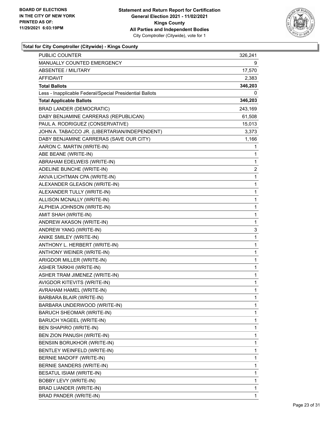

| <b>PUBLIC COUNTER</b>                                    | 326,241      |
|----------------------------------------------------------|--------------|
| MANUALLY COUNTED EMERGENCY                               | 9            |
| <b>ABSENTEE / MILITARY</b>                               | 17,570       |
| AFFIDAVIT                                                | 2,383        |
| <b>Total Ballots</b>                                     | 346,203      |
| Less - Inapplicable Federal/Special Presidential Ballots | 0            |
| <b>Total Applicable Ballots</b>                          | 346,203      |
| <b>BRAD LANDER (DEMOCRATIC)</b>                          | 243,169      |
| DABY BENJAMINE CARRERAS (REPUBLICAN)                     | 61,508       |
| PAUL A. RODRIGUEZ (CONSERVATIVE)                         | 15,013       |
| JOHN A. TABACCO JR. (LIBERTARIAN/INDEPENDENT)            | 3,373        |
| DABY BENJAMINE CARRERAS (SAVE OUR CITY)                  | 1,166        |
| AARON C. MARTIN (WRITE-IN)                               | 1            |
| ABE BEANE (WRITE-IN)                                     | 1            |
| ABRAHAM EDELWEIS (WRITE-IN)                              | 1            |
| ADELINE BUNCHE (WRITE-IN)                                | 2            |
| AKIVA LICHTMAN CPA (WRITE-IN)                            | 1            |
| ALEXANDER GLEASON (WRITE-IN)                             | 1            |
| ALEXANDER TULLY (WRITE-IN)                               | 1            |
| ALLISON MCNALLY (WRITE-IN)                               | $\mathbf 1$  |
| ALPHEIA JOHNSON (WRITE-IN)                               | $\mathbf 1$  |
| AMIT SHAH (WRITE-IN)                                     | 1            |
| ANDREW AKASON (WRITE-IN)                                 | 1            |
| ANDREW YANG (WRITE-IN)                                   | 3            |
| ANIKE SMILEY (WRITE-IN)                                  | 1            |
| ANTHONY L. HERBERT (WRITE-IN)                            | $\mathbf 1$  |
| ANTHONY WEINER (WRITE-IN)                                | $\mathbf 1$  |
| ARIGDOR MILLER (WRITE-IN)                                | 1            |
| ASHER TARKHI (WRITE-IN)                                  | 1            |
| ASHER TRAM JIMENEZ (WRITE-IN)                            | 1            |
| AVIGDOR KITEVITS (WRITE-IN)                              | 1            |
| AVRAHAM HAMEL (WRITE-IN)                                 | $\mathbf{1}$ |
| BARBARA BLAIR (WRITE-IN)                                 | 1            |
| BARBARA UNDERWOOD (WRITE-IN)                             | 1            |
| BARUCH SHEOMAR (WRITE-IN)                                | 1            |
| BARUCH YAGEEL (WRITE-IN)                                 | 1            |
| BEN SHAPIRO (WRITE-IN)                                   | 1            |
| BEN ZION PANUSH (WRITE-IN)                               | 1            |
| BENSIIN BORUKHOR (WRITE-IN)                              | 1            |
| BENTLEY WEINFELD (WRITE-IN)                              | 1            |
| BERNIE MADOFF (WRITE-IN)                                 | 1            |
| BERNIE SANDERS (WRITE-IN)                                | 1            |
| BESATUL ISIAM (WRITE-IN)                                 | 1            |
| BOBBY LEVY (WRITE-IN)                                    | 1            |
| BRAD LIANDER (WRITE-IN)                                  | 1            |
| <b>BRAD PANDER (WRITE-IN)</b>                            | 1            |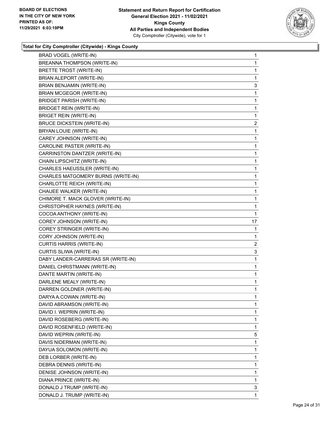

| BRAD VOGEL (WRITE-IN)              | $\mathbf{1}$            |
|------------------------------------|-------------------------|
| BREANNA THOMPSON (WRITE-IN)        | $\mathbf{1}$            |
| BRETTE TROST (WRITE-IN)            | 1                       |
| BRIAN ALEPORT (WRITE-IN)           | 1                       |
| BRIAN BENJAMIN (WRITE-IN)          | 3                       |
| <b>BRIAN MCGEGOR (WRITE-IN)</b>    | 1                       |
| <b>BRIDGET PARISH (WRITE-IN)</b>   | 1                       |
| <b>BRIDGET REIN (WRITE-IN)</b>     | $\mathbf{1}$            |
| <b>BRIGET REIN (WRITE-IN)</b>      | 1                       |
| <b>BRUCE DICKSTEIN (WRITE-IN)</b>  | $\overline{\mathbf{c}}$ |
| BRYAN LOUIE (WRITE-IN)             | $\mathbf{1}$            |
| CAREY JOHNSON (WRITE-IN)           | 1                       |
| CAROLINE PASTER (WRITE-IN)         | 1                       |
| CARRINSTON DANTZER (WRITE-IN)      | $\mathbf{1}$            |
| CHAIN LIPSCHITZ (WRITE-IN)         | 1                       |
| CHARLES HAEUSSLER (WRITE-IN)       | $\mathbf{1}$            |
| CHARLES MATGOMERY BURNS (WRITE-IN) | $\mathbf{1}$            |
| CHARLOTTE REICH (WRITE-IN)         | 1                       |
| CHAUEE WALKER (WRITE-IN)           | 1                       |
| CHIMORE T. MACK GLOVER (WRITE-IN)  | $\mathbf{1}$            |
| CHRISTOPHER HAYNES (WRITE-IN)      | 1                       |
| COCOA ANTHONY (WRITE-IN)           | 1                       |
| COREY JOHNSON (WRITE-IN)           | 17                      |
| COREY STRINGER (WRITE-IN)          | 1                       |
| CORY JOHNSON (WRITE-IN)            | 1                       |
| <b>CURTIS HARRIS (WRITE-IN)</b>    | 2                       |
| CURTIS SLIWA (WRITE-IN)            | 3                       |
| DABY LANDER-CARRERAS SR (WRITE-IN) | 1                       |
| DANIEL CHRISTMANN (WRITE-IN)       | $\mathbf{1}$            |
| DANTE MARTIN (WRITE-IN)            | 1                       |
| DARLENE MEALY (WRITE-IN)           | 1                       |
| DARREN GOLDNER (WRITE-IN)          | $\mathbf{1}$            |
| DARYA A.COWAN (WRITE-IN)           | $\mathbf{1}$            |
| DAVID ABRAMSON (WRITE-IN)          | 1                       |
| DAVID I. WEPRIN (WRITE-IN)         | 1                       |
| DAVID ROSEBERG (WRITE-IN)          | 1                       |
| DAVID ROSENFIELD (WRITE-IN)        | 1                       |
| DAVID WEPRIN (WRITE-IN)            | 5                       |
| DAVIS NIDERMAN (WRITE-IN)          | 1                       |
| DAYUA SOLOMON (WRITE-IN)           | 1                       |
| DEB LORBER (WRITE-IN)              | 1                       |
| DEBRA DENNIS (WRITE-IN)            | 1                       |
| DENISE JOHNSON (WRITE-IN)          | 1                       |
| DIANA PRINCE (WRITE-IN)            | $\mathbf 1$             |
| DONALD J TRUMP (WRITE-IN)          | 3                       |
| DONALD J. TRUMP (WRITE-IN)         | 1                       |
|                                    |                         |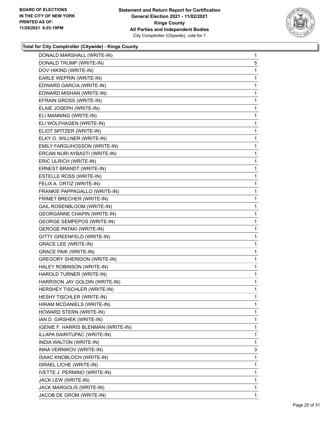

| DONALD MARSHALL (WRITE-IN)          | $\mathbf{1}$ |
|-------------------------------------|--------------|
| DONALD TRUMP (WRITE-IN)             | 5            |
| DOV HIKIND (WRITE-IN)               | 1            |
| EARLE WEPRIN (WRITE-IN)             | 1            |
| EDWARD GARCIA (WRITE-IN)            | 1            |
| EDWARD MISHAN (WRITE-IN)            | 1            |
| EFRAIN GROSS (WRITE-IN)             | 1            |
| ELAIE JOSEPH (WRITE-IN)             | 1            |
| ELI MANNING (WRITE-IN)              | 1            |
| ELI WOLFHAGEN (WRITE-IN)            | 1            |
| ELIOT SPITZER (WRITE-IN)            | 1            |
| ELKY O. WILLNER (WRITE-IN)          | 1            |
| EMILY FARGUHOSSON (WRITE-IN)        | 1            |
| ERCAN NURI AYBASTI (WRITE-IN)       | 1            |
| ERIC ULRICH (WRITE-IN)              | 1            |
| ERNEST BRANDT (WRITE-IN)            | 1            |
| ESTELLE ROSS (WRITE-IN)             | 1            |
| FELIX A. ORTIZ (WRITE-IN)           | 1            |
| FRANKIE PAPPAGALLO (WRITE-IN)       | 1            |
| FRIMET BRECHER (WRITE-IN)           | 1            |
| GAIL ROSENBLOOM (WRITE-IN)          | 1            |
| <b>GEORGANNE CHAPIN (WRITE-IN)</b>  | 1            |
| <b>GEORGE SEMPEPOS (WRITE-IN)</b>   | 1            |
| <b>GEROGE PATAKI (WRITE-IN)</b>     | 1            |
| GITTY GREENFELD (WRITE-IN)          | 1            |
| <b>GRACE LEE (WRITE-IN)</b>         | 1            |
| <b>GRACE PAIK (WRITE-IN)</b>        | 1            |
| <b>GREGORY SHERIDON (WRITE-IN)</b>  | 1            |
| HALEY ROBINSON (WRITE-IN)           | 1            |
| HAROLD TURNER (WRITE-IN)            | 1            |
| HARRISON JAY GOLDIN (WRITE-IN)      | 1            |
| HERSHEY TISCHLER (WRITE-IN)         | 1            |
| HESHY TISCHLER (WRITE-IN)           | 1            |
| HIRAM MCDANIELS (WRITE-IN)          | 1            |
| HOWARD STERN (WRITE-IN)             | 1            |
| IAN D. GIRSHEK (WRITE-IN)           | 1            |
| IGENIE F. HARRIS BLENMAN (WRITE-IN) | 1            |
| ILLAPA SAIRITUPAC (WRITE-IN)        | 1            |
| INDIA WALTON (WRITE-IN)             | 1            |
| INNA VERNIKOV (WRITE-IN)            | 3            |
| ISAAC KNOBLOCH (WRITE-IN)           | 1            |
| <b>ISRAEL LICHE (WRITE-IN)</b>      | 1            |
| IVETTE J. PERMINO (WRITE-IN)        | 1            |
| JACK LEW (WRITE-IN)                 | 1            |
| JACK MARGOLIS (WRITE-IN)            | 1            |
| JACOB DE GROM (WRITE-IN)            | 1            |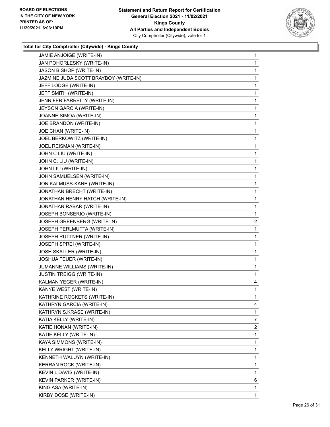

| JAMIE ANJOIGE (WRITE-IN)              | 1 |
|---------------------------------------|---|
| JAN POHORLESKY (WRITE-IN)             | 1 |
| JASON BISHOP (WRITE-IN)               | 1 |
| JAZMINE JUDA SCOTT BRAYBOY (WRITE-IN) | 1 |
| JEFF LODGE (WRITE-IN)                 | 1 |
| JEFF SMITH (WRITE-IN)                 | 1 |
| JENNIFER FARRELLY (WRITE-IN)          | 1 |
| JEYSON GARCIA (WRITE-IN)              | 1 |
| JOANNE SIMOA (WRITE-IN)               | 1 |
| JOE BRANDON (WRITE-IN)                | 1 |
| JOE CHAN (WRITE-IN)                   | 1 |
| JOEL BERKOWITZ (WRITE-IN)             | 1 |
| JOEL REISMAN (WRITE-IN)               | 1 |
| JOHN C LIU (WRITE-IN)                 | 1 |
| JOHN C. LIU (WRITE-IN)                | 1 |
| JOHN LIU (WRITE-IN)                   | 1 |
| JOHN SAMUELSEN (WRITE-IN)             | 1 |
| JON KALMUSS-KANE (WRITE-IN)           | 1 |
| JONATHAN BRECHT (WRITE-IN)            | 1 |
| JONATHAN HENRY HATCH (WRITE-IN)       | 1 |
| JONATHAN RABAR (WRITE-IN)             | 1 |
| JOSEPH BONSERIO (WRITE-IN)            | 1 |
| JOSEPH GREENBERG (WRITE-IN)           | 2 |
| JOSEPH PERLMUTTA (WRITE-IN)           | 1 |
| JOSEPH RUTTNER (WRITE-IN)             | 1 |
| JOSEPH SPREI (WRITE-IN)               | 1 |
| JOSH SKALLER (WRITE-IN)               | 1 |
| JOSHUA FEUER (WRITE-IN)               | 1 |
| JUMANNE WILLIAMS (WRITE-IN)           | 1 |
| JUSTIN TREIGG (WRITE-IN)              | 1 |
| KALMAN YEGER (WRITE-IN)               | 4 |
| KANYE WEST (WRITE-IN)                 | 1 |
| KATHRINE ROCKETS (WRITE-IN)           | 1 |
| KATHRYN GARCIA (WRITE-IN)             | 4 |
| KATHRYN S.KRASE (WRITE-IN)            | 1 |
| KATIA KELLY (WRITE-IN)                | 7 |
| KATIE HONAN (WRITE-IN)                | 2 |
| KATIE KELLY (WRITE-IN)                | 1 |
| KAYA SIMMONS (WRITE-IN)               | 1 |
| KELLY WRIGHT (WRITE-IN)               | 1 |
| KENNETH WALUYN (WRITE-IN)             | 1 |
| KERRAN ROCK (WRITE-IN)                | 1 |
| KEVIN L DAVIS (WRITE-IN)              | 1 |
| KEVIN PARKER (WRITE-IN)               | 6 |
| KING ASA (WRITE-IN)                   | 1 |
| KIRBY DOSE (WRITE-IN)                 | 1 |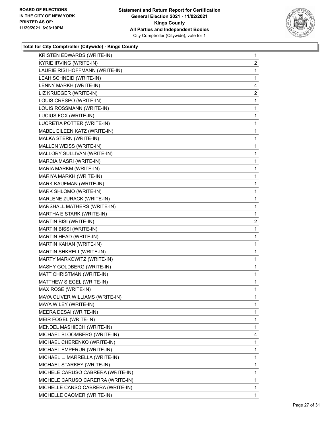

| KRISTEN EDWARDS (WRITE-IN)        | $\mathbf{1}$   |
|-----------------------------------|----------------|
| KYRIE IRVING (WRITE-IN)           | $\overline{2}$ |
| LAURIE RISI HOFFMANN (WRITE-IN)   | 1              |
| LEAH SCHNEID (WRITE-IN)           | 1              |
| LENNY MARKH (WRITE-IN)            | 4              |
| LIZ KRUEGER (WRITE-IN)            | $\overline{2}$ |
| LOUIS CRESPO (WRITE-IN)           | 1              |
| LOUIS ROSSMANN (WRITE-IN)         | 1              |
| LUCIUS FOX (WRITE-IN)             | 1              |
| LUCRETIA POTTER (WRITE-IN)        | 1              |
| MABEL EILEEN KATZ (WRITE-IN)      | 1              |
| MALKA STERN (WRITE-IN)            | 1              |
| MALLEN WEISS (WRITE-IN)           | 1              |
| MALLORY SULLIVAN (WRITE-IN)       | 1              |
| MARCIA MASRI (WRITE-IN)           | 1              |
| MARIA MARKM (WRITE-IN)            | 1              |
| MARIYA MARKH (WRITE-IN)           | 1              |
| MARK KAUFMAN (WRITE-IN)           | 1              |
| MARK SHLOMO (WRITE-IN)            | 1              |
| MARLENE ZURACK (WRITE-IN)         | 1              |
| MARSHALL MATHERS (WRITE-IN)       | 1              |
| MARTHA E STARK (WRITE-IN)         | 1              |
| MARTIN BISI (WRITE-IN)            | $\overline{2}$ |
| MARTIN BISSI (WRITE-IN)           | 1              |
| MARTIN HEAD (WRITE-IN)            | 1              |
| MARTIN KAHAN (WRITE-IN)           | 1              |
| MARTIN SHKRELI (WRITE-IN)         | 1              |
| MARTY MARKOWITZ (WRITE-IN)        | 1              |
| MASHY GOLDBERG (WRITE-IN)         | 1              |
| MATT CHRISTMAN (WRITE-IN)         | 1              |
| MATTHEW SIEGEL (WRITE-IN)         | 1              |
| MAX ROSE (WRITE-IN)               | 1              |
| MAYA OLIVER WILLIAMS (WRITE-IN)   | 1              |
| MAYA WILEY (WRITE-IN)             | 1              |
| MEERA DESAI (WRITE-IN)            | 1              |
| MEIR FOGEL (WRITE-IN)             | 1              |
| MENDEL MASHIECH (WRITE-IN)        | 1              |
| MICHAEL BLOOMBERG (WRITE-IN)      | 4              |
| MICHAEL CHERENKO (WRITE-IN)       | 1              |
| MICHAEL EMPERUR (WRITE-IN)        | 1              |
| MICHAEL L. MARRELLA (WRITE-IN)    | 1              |
| MICHAEL STARKEY (WRITE-IN)        | 1              |
| MICHELE CARUSO CABRERA (WRITE-IN) | 1              |
| MICHELE CARUSO CARERRA (WRITE-IN) | 1              |
| MICHELLE CANSO CABRERA (WRITE-IN) | 1              |
| MICHELLE CAOMER (WRITE-IN)        | 1              |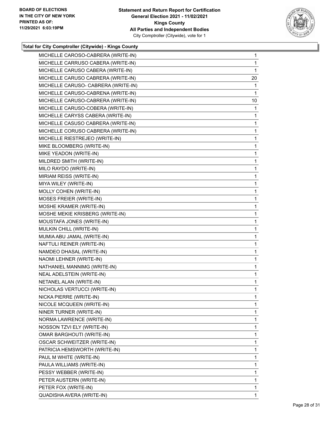

| MICHELLE CAROSO-CABRERA (WRITE-IN)  | 1  |
|-------------------------------------|----|
| MICHELLE CARRUSO CABERA (WRITE-IN)  | 1  |
| MICHELLE CARUSO CABERA (WRITE-IN)   | 1  |
| MICHELLE CARUSO CABRERA (WRITE-IN)  | 20 |
| MICHELLE CARUSO- CABRERA (WRITE-IN) | 1  |
| MICHELLE CARUSO-CABRENA (WRITE-IN)  | 1  |
| MICHELLE CARUSO-CABRERA (WRITE-IN)  | 10 |
| MICHELLE CARUSO-COBERA (WRITE-IN)   | 1  |
| MICHELLE CARYSS CABERA (WRITE-IN)   | 1  |
| MICHELLE CASUSO CABRERA (WRITE-IN)  | 1  |
| MICHELLE CORUSO CABRERA (WRITE-IN)  | 1  |
| MICHELLE RIESTREJEO (WRITE-IN)      | 1  |
| MIKE BLOOMBERG (WRITE-IN)           | 1  |
| MIKE YEADON (WRITE-IN)              | 1  |
| MILDRED SMITH (WRITE-IN)            | 1  |
| MILO RAYDO (WRITE-IN)               | 1  |
| MIRIAM REISS (WRITE-IN)             | 1  |
| MIYA WILEY (WRITE-IN)               | 1  |
| MOLLY COHEN (WRITE-IN)              | 1  |
| MOSES FREIER (WRITE-IN)             | 1  |
| MOSHE KRAMER (WRITE-IN)             | 1  |
| MOSHE MEKIE KRISBERG (WRITE-IN)     | 1  |
| MOUSTAFA JONES (WRITE-IN)           | 1  |
| MULKIN CHILL (WRITE-IN)             | 1  |
| MUMIA ABU JAMAL (WRITE-IN)          | 1  |
| NAFTULI REINER (WRITE-IN)           | 1  |
| NAMDEO DHASAL (WRITE-IN)            | 1  |
| NAOMI LEHNER (WRITE-IN)             | 1  |
| NATHANIEL MANNIMG (WRITE-IN)        | 1  |
| NEAL ADELSTEIN (WRITE-IN)           | 1  |
| NETANEL ALAN (WRITE-IN)             | 1  |
| NICHOLAS VERTUCCI (WRITE-IN)        | 1  |
| NICKA PIERRE (WRITE-IN)             | 1  |
| NICOLE MCQUEEN (WRITE-IN)           | 1  |
| NINER TURNER (WRITE-IN)             | 1  |
| NORMA LAWRENCE (WRITE-IN)           | 1  |
| NOSSON TZVI ELY (WRITE-IN)          | 1  |
| <b>OMAR BARGHOUTI (WRITE-IN)</b>    | 1  |
| OSCAR SCHWEITZER (WRITE-IN)         | 1  |
| PATRICIA HEMSWORTH (WRITE-IN)       | 1  |
| PAUL M WHITE (WRITE-IN)             | 1  |
| PAULA WILLIAMS (WRITE-IN)           | 1  |
| PESSY WEBBER (WRITE-IN)             | 1  |
| PETER AUSTERN (WRITE-IN)            | 1  |
| PETER FOX (WRITE-IN)                | 1  |
| QUADISHA AVERA (WRITE-IN)           | 1  |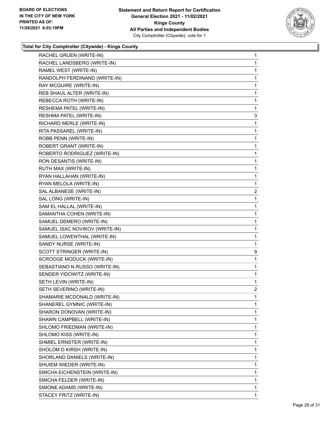

| RACHEL GRUEN (WRITE-IN)        | $\mathbf{1}$   |
|--------------------------------|----------------|
| RACHEL LANDSBERG (WRITE-IN)    | 1              |
| RAMEL WEST (WRITE-IN)          | 1              |
| RANDOLPH FERDINAND (WRITE-IN)  | 1              |
| RAY MCGUIRE (WRITE-IN)         | 1              |
| REB SHAUL ALTER (WRITE-IN)     | 1              |
| REBECCA ROTH (WRITE-IN)        | 1              |
| RESHEMA PATEL (WRITE-IN)       | 1              |
| RESHMA PATEL (WRITE-IN)        | 3              |
| RICHARD MERLE (WRITE-IN)       | 1              |
| RITA PASSAREL (WRITE-IN)       | 1              |
| ROBB PENN (WRITE-IN)           | 1              |
| ROBERT GRANT (WRITE-IN)        | 1              |
| ROBERTO RODRIGUEZ (WRITE-IN)   | 1              |
| RON DESANTIS (WRITE-IN)        | 1              |
| RUTH MAX (WRITE-IN)            | 1              |
| RYAN HALLAHAN (WRITE-IN)       | 1              |
| RYAN MELOLA (WRITE-IN)         | 1              |
| SAL ALBANESE (WRITE-IN)        | $\overline{2}$ |
| SAL LONG (WRITE-IN)            | 1              |
| SAM EL HALLAL (WRITE-IN)       | 1              |
| SAMANTHA COHEN (WRITE-IN)      | 1              |
| SAMUEL DEMERO (WRITE-IN)       | 1              |
| SAMUEL ISAC NOVIKOV (WRITE-IN) | 1              |
| SAMUEL LOWENTHAL (WRITE-IN)    | 1              |
| SANDY NURSE (WRITE-IN)         | 1              |
| SCOTT STRINGER (WRITE-IN)      | 9              |
| SCROOGE MODUCK (WRITE-IN)      | 1              |
| SEBASTIANO N.RUSSO (WRITE-IN)  | 1              |
| SENDER YIDOWITZ (WRITE-IN)     | 1              |
| SETH LEVIN (WRITE-IN)          | 1              |
| SETH SEVERINO (WRITE-IN)       | 2              |
| SHAMARIE MCDONALD (WRITE-IN)   | 1              |
| SHANEREL GYMNIC (WRITE-IN)     | 1              |
| SHARON DONOVAN (WRITE-IN)      | 1              |
| SHAWN CAMPBELL (WRITE-IN)      | 1              |
| SHLOMO FRIEDMAN (WRITE-IN)     | 1              |
| SHLOMO KISS (WRITE-IN)         | 1              |
| SHMIEL ERNSTER (WRITE-IN)      | 1              |
| SHOLOM D KIRSH (WRITE-IN)      | 1              |
| SHORLAND DANIELS (WRITE-IN)    | 1              |
| SHUIEM WIEDER (WRITE-IN)       | 1              |
| SIMCHA EICHENSTEIN (WRITE-IN)  | 1              |
| SIMCHA FELDER (WRITE-IN)       | 1              |
| SIMONE ADAMS (WRITE-IN)        | 1              |
| STACEY FRITZ (WRITE-IN)        | 1              |
|                                |                |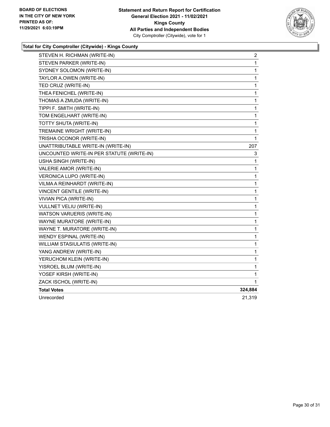

| STEVEN H. RICHMAN (WRITE-IN)              | 2            |
|-------------------------------------------|--------------|
| STEVEN PARKER (WRITE-IN)                  | $\mathbf 1$  |
| SYDNEY SOLOMON (WRITE-IN)                 | 1            |
| TAYLOR A.OWEN (WRITE-IN)                  | 1            |
| TED CRUZ (WRITE-IN)                       | 1            |
| THEA FENICHEL (WRITE-IN)                  | 1            |
| THOMAS A ZMUDA (WRITE-IN)                 | 1            |
| TIPPI F. SMITH (WRITE-IN)                 | 1            |
| TOM ENGELHART (WRITE-IN)                  | 1            |
| TOTTY SHUTA (WRITE-IN)                    | 1            |
| TREMAINE WRIGHT (WRITE-IN)                | $\mathbf{1}$ |
| TRISHA OCONOR (WRITE-IN)                  | 1            |
| UNATTRIBUTABLE WRITE-IN (WRITE-IN)        | 207          |
| UNCOUNTED WRITE-IN PER STATUTE (WRITE-IN) | 3            |
| USHA SINGH (WRITE-IN)                     | 1            |
| VALERIE AMOR (WRITE-IN)                   | 1            |
| VERONICA LUPO (WRITE-IN)                  | 1            |
| VILMA A REINHARDT (WRITE-IN)              | 1            |
| VINCENT GENTILE (WRITE-IN)                | $\mathbf{1}$ |
| VIVIAN PICA (WRITE-IN)                    | 1            |
| VULLNET VELIU (WRITE-IN)                  | 1            |
| WATSON VARUERIS (WRITE-IN)                | 1            |
| WAYNE MURATORE (WRITE-IN)                 | 1            |
| WAYNE T. MURATORE (WRITE-IN)              | 1            |
| WENDY ESPINAL (WRITE-IN)                  | 1            |
| WILLIAM STASIULATIS (WRITE-IN)            | 1            |
| YANG ANDREW (WRITE-IN)                    | $\mathbf{1}$ |
| YERUCHOM KLEIN (WRITE-IN)                 | $\mathbf{1}$ |
| YISROEL BLUM (WRITE-IN)                   | 1            |
| YOSEF KIRSH (WRITE-IN)                    | 1            |
| ZACK ISCHOL (WRITE-IN)                    | 1            |
| <b>Total Votes</b>                        | 324,884      |
| Unrecorded                                | 21,319       |